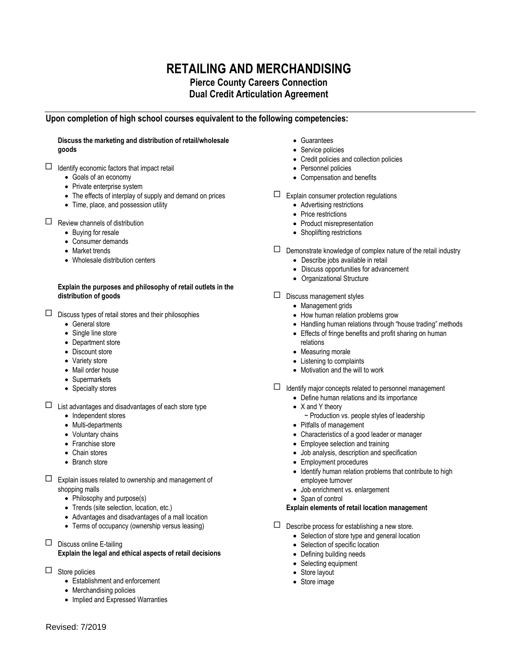# **RETAILING AND MERCHANDISING**

## **Pierce County Careers Connection Dual Credit Articulation Agreement**

## **Upon completion of high school courses equivalent to the following competencies:**

### **Discuss the marketing and distribution of retail/wholesale goods**

- $\Box$  Identify economic factors that impact retail
	- Goals of an economy
	- Private enterprise system
	- The effects of interplay of supply and demand on prices
	- Time, place, and possession utility
- $\Box$  Review channels of distribution
	- Buying for resale
	- Consumer demands
	- Market trends
	- Wholesale distribution centers

#### **Explain the purposes and philosophy of retail outlets in the distribution of goods**

- $\Box$  Discuss types of retail stores and their philosophies
	- General store
	- Single line store
	- Department store
	- Discount store
	- Variety store
	- Mail order house
	- Supermarkets
	- Specialty stores
- $\Box$  List advantages and disadvantages of each store type
	- Independent stores
	- Multi-departments
	- Voluntary chains
	- Franchise store
	- Chain stores
	- Branch store
- $\Box$  Explain issues related to ownership and management of shopping malls
	- Philosophy and purpose(s)
	- Trends (site selection, location, etc.)
	- Advantages and disadvantages of a mall location
	- Terms of occupancy (ownership versus leasing)
- $\Box$  Discuss online E-tailing

## **Explain the legal and ethical aspects of retail decisions**

- $\Box$  Store policies
	- Establishment and enforcement
	- Merchandising policies
	- Implied and Expressed Warranties
- Guarantees
- Service policies
- Credit policies and collection policies
- Personnel policies
- Compensation and benefits
- $\Box$  Explain consumer protection regulations
	- Advertising restrictions
	- Price restrictions
	- Product misrepresentation
	- Shoplifting restrictions
- $\square$  Demonstrate knowledge of complex nature of the retail industry
	- Describe jobs available in retail
	- Discuss opportunities for advancement
	- Organizational Structure
- $\square$  Discuss management styles
	- Management grids
	- How human relation problems grow
	- Handling human relations through "house trading" methods
	- Effects of fringe benefits and profit sharing on human relations
	- Measuring morale
	- Listening to complaints
	- Motivation and the will to work
- $\Box$  Identify major concepts related to personnel management
	- Define human relations and its importance
	- X and Y theory
		- ~ Production vs. people styles of leadership
	- Pitfalls of management
	- Characteristics of a good leader or manager
	- Employee selection and training
	- Job analysis, description and specification
	- Employment procedures
	- Identify human relation problems that contribute to high employee turnover
	- Job enrichment vs. enlargement
	- Span of control

## **Explain elements of retail location management**

- $\square$  Describe process for establishing a new store.
	- Selection of store type and general location
	- Selection of specific location
	- Defining building needs
	- Selecting equipment
	- Store layout
	- Store image